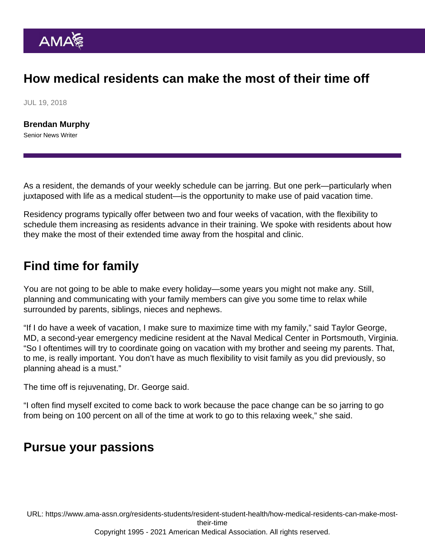## How medical residents can make the most of their time off

JUL 19, 2018

[Brendan Murphy](https://www.ama-assn.org/news-leadership-viewpoints/authors-news-leadership-viewpoints/brendan-murphy) Senior News Writer

As a resident, the demands of your weekly schedule can be jarring. But one perk—particularly when juxtaposed with life as a medical student—is the opportunity to make use of paid vacation time.

Residency programs typically offer between two and four weeks of vacation, with the flexibility to schedule them increasing as residents advance in their training. We spoke with residents about how they make the most of their extended time away from the hospital and clinic.

## Find time for family

You are not going to be able to make every holiday—some years you might not make any. Still, planning and communicating with your family members can give you some time to relax while surrounded by parents, siblings, nieces and nephews.

"If I do have a week of vacation, I make sure to maximize time with my family," said Taylor George, MD, a second-year emergency medicine resident at the Naval Medical Center in Portsmouth, Virginia. "So I oftentimes will try to coordinate going on vacation with my brother and seeing my parents. That, to me, is really important. You don't have as much flexibility to visit family as you did previously, so planning ahead is a must."

The time off is rejuvenating, Dr. George said.

"I often find myself excited to come back to work because the pace change can be so jarring to go from being on 100 percent on all of the time at work to go to this relaxing week," she said.

## Pursue your passions

URL: [https://www.ama-assn.org/residents-students/resident-student-health/how-medical-residents-can-make-most](https://www.ama-assn.org/residents-students/resident-student-health/how-medical-residents-can-make-most-their-time)[their-time](https://www.ama-assn.org/residents-students/resident-student-health/how-medical-residents-can-make-most-their-time)

Copyright 1995 - 2021 American Medical Association. All rights reserved.